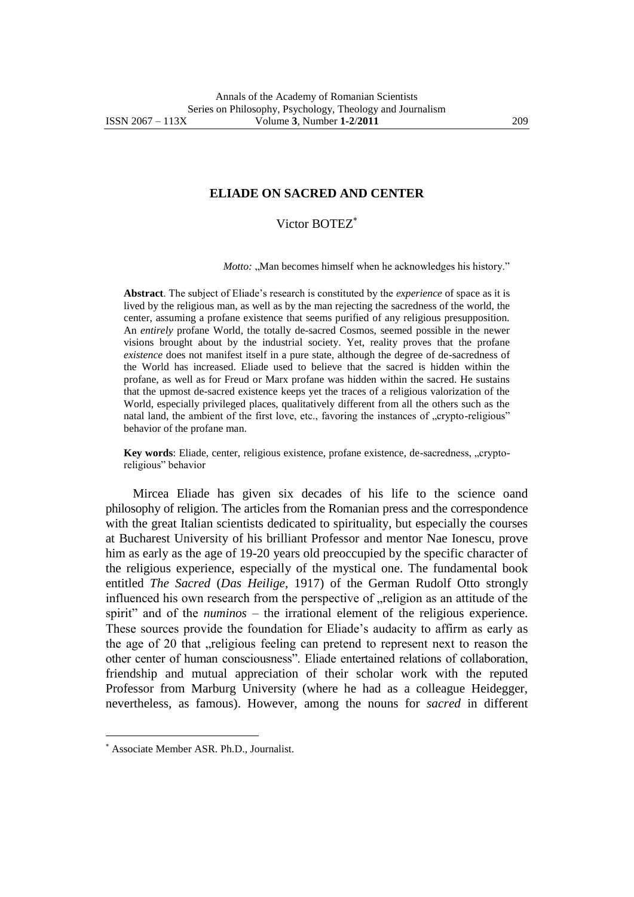## **ELIADE ON SACRED AND CENTER**

## Victor BOTEZ

*Motto:* "Man becomes himself when he acknowledges his history."

**Abstract**. The subject of Eliade's research is constituted by the *experience* of space as it is lived by the religious man, as well as by the man rejecting the sacredness of the world, the center, assuming a profane existence that seems purified of any religious presupposition. An *entirely* profane World*,* the totally de-sacred Cosmos, seemed possible in the newer visions brought about by the industrial society. Yet, reality proves that the profane *existence* does not manifest itself in a pure state, although the degree of de-sacredness of the World has increased. Eliade used to believe that the sacred is hidden within the profane, as well as for Freud or Marx profane was hidden within the sacred. He sustains that the upmost de-sacred existence keeps yet the traces of a religious valorization of the World, especially privileged places, qualitatively different from all the others such as the natal land, the ambient of the first love, etc., favoring the instances of "crypto-religious" behavior of the profane man.

Key words: Eliade, center, religious existence, profane existence, de-sacredness, "cryptoreligious" behavior

Mircea Eliade has given six decades of his life to the science oand philosophy of religion. The articles from the Romanian press and the correspondence with the great Italian scientists dedicated to spirituality, but especially the courses at Bucharest University of his brilliant Professor and mentor Nae Ionescu, prove him as early as the age of 19-20 years old preoccupied by the specific character of the religious experience, especially of the mystical one. The fundamental book entitled *The Sacred* (*Das Heilige*, 1917) of the German Rudolf Otto strongly influenced his own research from the perspective of  $n$ , religion as an attitude of the spirit" and of the *numinos* – the irrational element of the religious experience. These sources provide the foundation for Eliade's audacity to affirm as early as the age of 20 that , religious feeling can pretend to represent next to reason the other center of human consciousness". Eliade entertained relations of collaboration, friendship and mutual appreciation of their scholar work with the reputed Professor from Marburg University (where he had as a colleague Heidegger, nevertheless, as famous). However, among the nouns for *sacred* in different

 $\overline{a}$ 

Associate Member ASR. Ph.D., Journalist.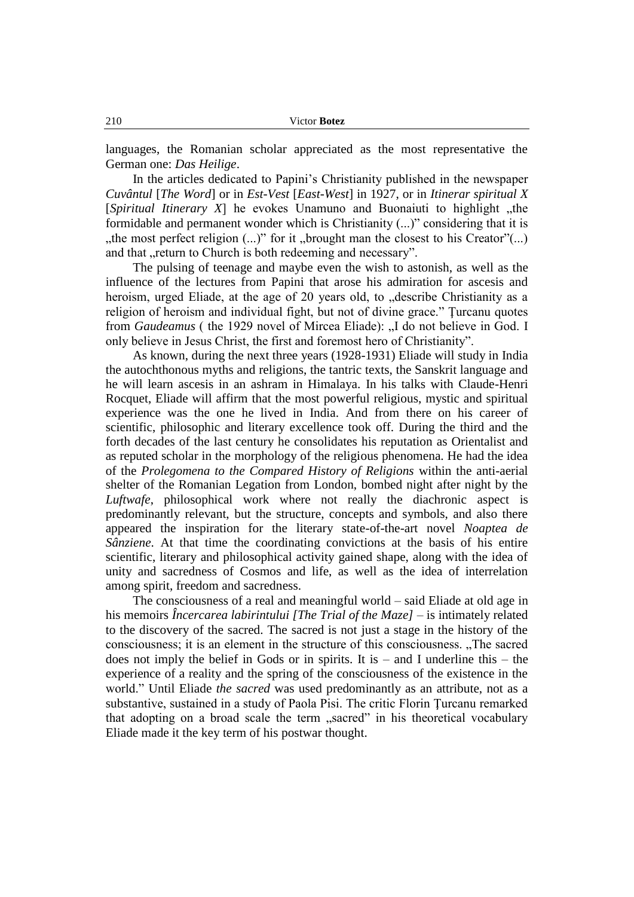languages, the Romanian scholar appreciated as the most representative the German one: *Das Heilige*.

In the articles dedicated to Papini's Christianity published in the newspaper *Cuvântul* [*The Word*] or in *Est-Vest* [*East-West*] in 1927, or in *Itinerar spiritual X* [*Spiritual Itinerary X*] he evokes Unamuno and Buonaiuti to highlight "the formidable and permanent wonder which is Christianity (...)" considering that it is ", the most perfect religion  $(...)$ " for it "brought man the closest to his Creator" $(...)$ and that "return to Church is both redeeming and necessary".

The pulsing of teenage and maybe even the wish to astonish, as well as the influence of the lectures from Papini that arose his admiration for ascesis and heroism, urged Eliade, at the age of 20 years old, to "describe Christianity as a religion of heroism and individual fight, but not of divine grace." Ţurcanu quotes from *Gaudeamus* ( the 1929 novel of Mircea Eliade): "I do not believe in God. I only believe in Jesus Christ, the first and foremost hero of Christianity".

As known, during the next three years (1928-1931) Eliade will study in India the autochthonous myths and religions, the tantric texts, the Sanskrit language and he will learn ascesis in an ashram in Himalaya. In his talks with Claude-Henri Rocquet, Eliade will affirm that the most powerful religious, mystic and spiritual experience was the one he lived in India. And from there on his career of scientific, philosophic and literary excellence took off. During the third and the forth decades of the last century he consolidates his reputation as Orientalist and as reputed scholar in the morphology of the religious phenomena. He had the idea of the *Prolegomena to the Compared History of Religions* within the anti-aerial shelter of the Romanian Legation from London, bombed night after night by the *Luftwafe*, philosophical work where not really the diachronic aspect is predominantly relevant, but the structure, concepts and symbols, and also there appeared the inspiration for the literary state-of-the-art novel *Noaptea de Sânziene*. At that time the coordinating convictions at the basis of his entire scientific, literary and philosophical activity gained shape, along with the idea of unity and sacredness of Cosmos and life, as well as the idea of interrelation among spirit, freedom and sacredness.

The consciousness of a real and meaningful world – said Eliade at old age in his memoirs *Încercarea labirintului [The Trial of the Maze]* – is intimately related to the discovery of the sacred. The sacred is not just a stage in the history of the consciousness; it is an element in the structure of this consciousness. "The sacred does not imply the belief in Gods or in spirits. It is  $-$  and I underline this  $-$  the experience of a reality and the spring of the consciousness of the existence in the world." Until Eliade *the sacred* was used predominantly as an attribute, not as a substantive, sustained in a study of Paola Pisi. The critic Florin Ţurcanu remarked that adopting on a broad scale the term "sacred" in his theoretical vocabulary Eliade made it the key term of his postwar thought.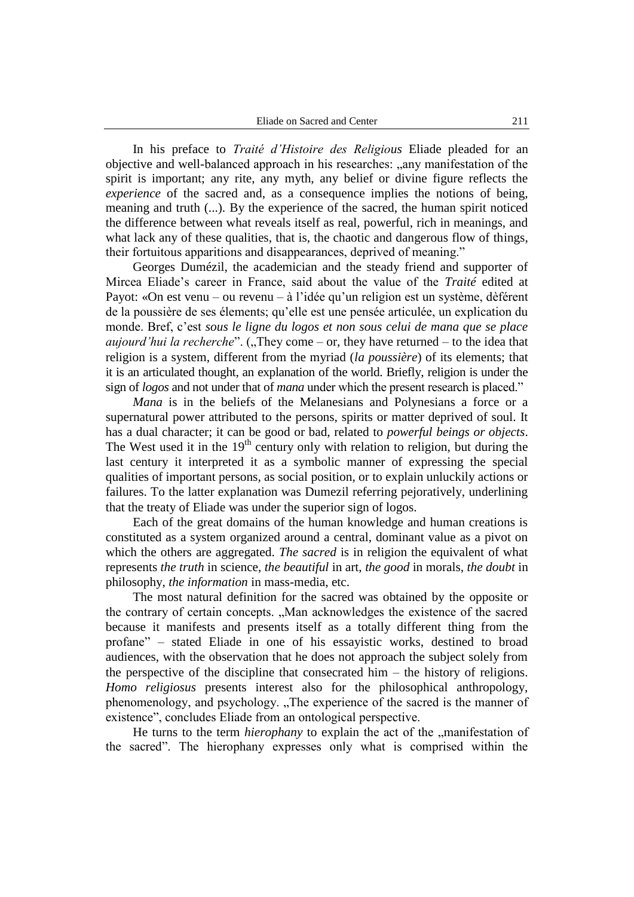In his preface to *Traité d'Histoire des Religious* Eliade pleaded for an objective and well-balanced approach in his researches: "any manifestation of the spirit is important; any rite, any myth, any belief or divine figure reflects the *experience* of the sacred and, as a consequence implies the notions of being, meaning and truth (...). By the experience of the sacred, the human spirit noticed the difference between what reveals itself as real, powerful, rich in meanings, and what lack any of these qualities, that is, the chaotic and dangerous flow of things, their fortuitous apparitions and disappearances, deprived of meaning."

Georges Dumézil, the academician and the steady friend and supporter of Mircea Eliade's career in France, said about the value of the *Traité* edited at Payot: «On est venu – ou revenu – à l'idée qu'un religion est un système, dèférent de la poussière de ses élements; qu'elle est une pensée articulée, un explication du monde. Bref, c'est *sous le ligne du logos et non sous celui de mana que se place aujourd'hui la recherche*". ("They come – or, they have returned – to the idea that religion is a system, different from the myriad (*la poussière*) of its elements; that it is an articulated thought, an explanation of the world. Briefly, religion is under the sign of *logos* and not under that of *mana* under which the present research is placed."

*Mana* is in the beliefs of the Melanesians and Polynesians a force or a supernatural power attributed to the persons, spirits or matter deprived of soul. It has a dual character; it can be good or bad, related to *powerful beings or objects*. The West used it in the  $19<sup>th</sup>$  century only with relation to religion, but during the last century it interpreted it as a symbolic manner of expressing the special qualities of important persons, as social position, or to explain unluckily actions or failures. To the latter explanation was Dumezil referring pejoratively, underlining that the treaty of Eliade was under the superior sign of logos.

Each of the great domains of the human knowledge and human creations is constituted as a system organized around a central, dominant value as a pivot on which the others are aggregated. *The sacred* is in religion the equivalent of what represents *the truth* in science, *the beautiful* in art, *the good* in morals, *the doubt* in philosophy, *the information* in mass-media, etc.

The most natural definition for the sacred was obtained by the opposite or the contrary of certain concepts. "Man acknowledges the existence of the sacred because it manifests and presents itself as a totally different thing from the profane" – stated Eliade in one of his essayistic works, destined to broad audiences, with the observation that he does not approach the subject solely from the perspective of the discipline that consecrated him – the history of religions. *Homo religiosus* presents interest also for the philosophical anthropology, phenomenology, and psychology. "The experience of the sacred is the manner of existence", concludes Eliade from an ontological perspective.

He turns to the term *hierophany* to explain the act of the "manifestation of the sacred". The hierophany expresses only what is comprised within the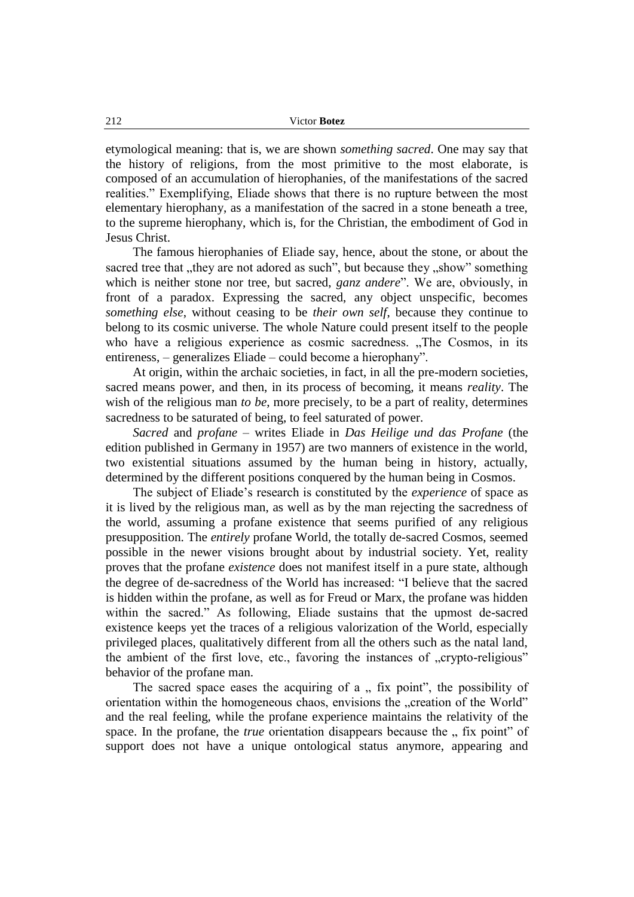etymological meaning: that is, we are shown *something sacred*. One may say that the history of religions, from the most primitive to the most elaborate, is composed of an accumulation of hierophanies, of the manifestations of the sacred realities." Exemplifying, Eliade shows that there is no rupture between the most elementary hierophany, as a manifestation of the sacred in a stone beneath a tree, to the supreme hierophany, which is, for the Christian, the embodiment of God in Jesus Christ.

The famous hierophanies of Eliade say, hence, about the stone, or about the sacred tree that , they are not adored as such", but because they , show" something which is neither stone nor tree, but sacred, *ganz andere*". We are, obviously, in front of a paradox. Expressing the sacred, any object unspecific, becomes *something else*, without ceasing to be *their own self*, because they continue to belong to its cosmic universe. The whole Nature could present itself to the people who have a religious experience as cosmic sacredness. "The Cosmos, in its entireness, – generalizes Eliade – could become a hierophany".

At origin, within the archaic societies, in fact, in all the pre-modern societies, sacred means power, and then, in its process of becoming, it means *reality*. The wish of the religious man *to be*, more precisely, to be a part of reality, determines sacredness to be saturated of being, to feel saturated of power.

*Sacred* and *profane* – writes Eliade in *Das Heilige und das Profane* (the edition published in Germany in 1957) are two manners of existence in the world, two existential situations assumed by the human being in history, actually, determined by the different positions conquered by the human being in Cosmos.

The subject of Eliade's research is constituted by the *experience* of space as it is lived by the religious man, as well as by the man rejecting the sacredness of the world, assuming a profane existence that seems purified of any religious presupposition. The *entirely* profane World*,* the totally de-sacred Cosmos, seemed possible in the newer visions brought about by industrial society. Yet, reality proves that the profane *existence* does not manifest itself in a pure state, although the degree of de-sacredness of the World has increased: "I believe that the sacred is hidden within the profane, as well as for Freud or Marx, the profane was hidden within the sacred." As following, Eliade sustains that the upmost de-sacred existence keeps yet the traces of a religious valorization of the World, especially privileged places, qualitatively different from all the others such as the natal land, the ambient of the first love, etc., favoring the instances of "crypto-religious" behavior of the profane man.

The sacred space eases the acquiring of  $a$ , fix point", the possibility of orientation within the homogeneous chaos, envisions the "creation of the World" and the real feeling, while the profane experience maintains the relativity of the space. In the profane, the *true* orientation disappears because the " fix point" of support does not have a unique ontological status anymore, appearing and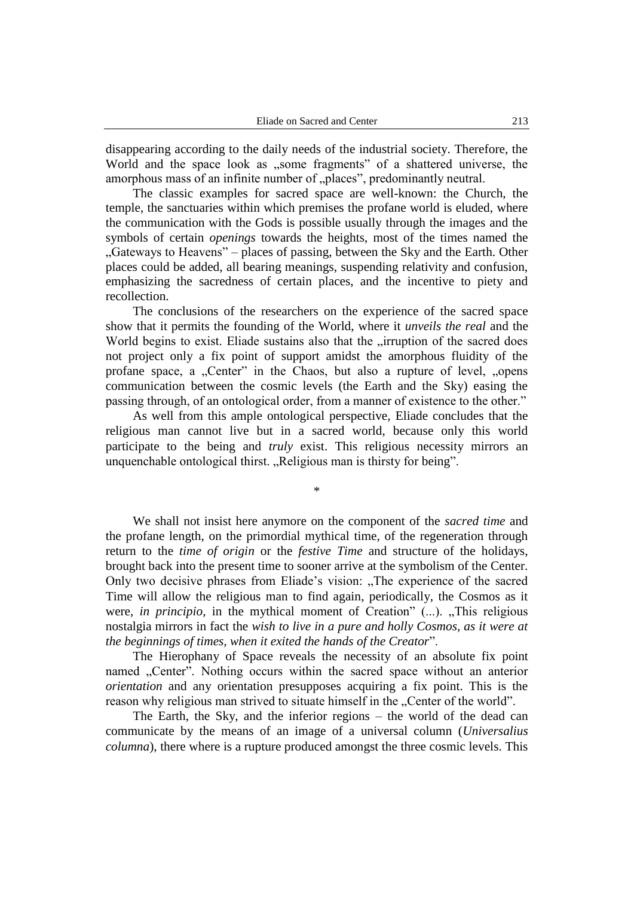disappearing according to the daily needs of the industrial society. Therefore, the World and the space look as "some fragments" of a shattered universe, the amorphous mass of an infinite number of "places", predominantly neutral.

The classic examples for sacred space are well-known: the Church, the temple, the sanctuaries within which premises the profane world is eluded, where the communication with the Gods is possible usually through the images and the symbols of certain *openings* towards the heights, most of the times named the "Gateways to Heavens" – places of passing, between the Sky and the Earth. Other places could be added, all bearing meanings, suspending relativity and confusion, emphasizing the sacredness of certain places, and the incentive to piety and recollection.

The conclusions of the researchers on the experience of the sacred space show that it permits the founding of the World, where it *unveils the real* and the World begins to exist. Eliade sustains also that the "irruption of the sacred does not project only a fix point of support amidst the amorphous fluidity of the profane space, a "Center" in the Chaos, but also a rupture of level, "opens communication between the cosmic levels (the Earth and the Sky) easing the passing through, of an ontological order, from a manner of existence to the other."

As well from this ample ontological perspective, Eliade concludes that the religious man cannot live but in a sacred world, because only this world participate to the being and *truly* exist. This religious necessity mirrors an unquenchable ontological thirst. "Religious man is thirsty for being".

\*

We shall not insist here anymore on the component of the *sacred time* and the profane length, on the primordial mythical time, of the regeneration through return to the *time of origin* or the *festive Time* and structure of the holidays, brought back into the present time to sooner arrive at the symbolism of the Center. Only two decisive phrases from Eliade's vision: "The experience of the sacred Time will allow the religious man to find again, periodically, the Cosmos as it were, *in principio*, in the mythical moment of Creation" (...). "This religious nostalgia mirrors in fact the *wish to live in a pure and holly Cosmos, as it were at the beginnings of times, when it exited the hands of the Creator*".

The Hierophany of Space reveals the necessity of an absolute fix point named "Center". Nothing occurs within the sacred space without an anterior *orientation* and any orientation presupposes acquiring a fix point. This is the reason why religious man strived to situate himself in the "Center of the world".

The Earth, the Sky, and the inferior regions – the world of the dead can communicate by the means of an image of a universal column (*Universalius columna*), there where is a rupture produced amongst the three cosmic levels. This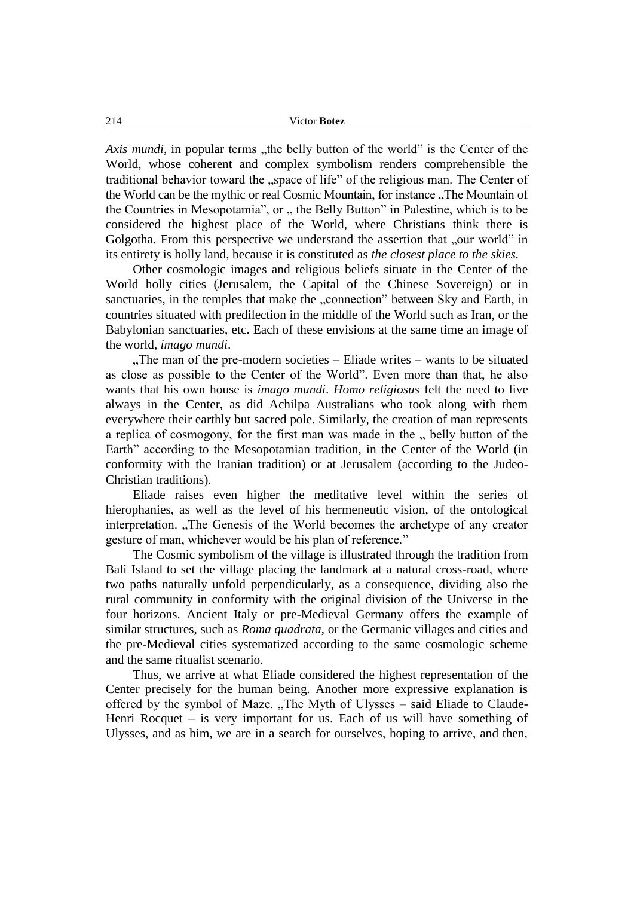*Axis mundi*, in popular terms "the belly button of the world" is the Center of the World, whose coherent and complex symbolism renders comprehensible the traditional behavior toward the "space of life" of the religious man. The Center of the World can be the mythic or real Cosmic Mountain, for instance . The Mountain of the Countries in Mesopotamia", or ,, the Belly Button" in Palestine, which is to be considered the highest place of the World, where Christians think there is Golgotha. From this perspective we understand the assertion that "our world" in its entirety is holly land, because it is constituted as *the closest place to the skies.*

Other cosmologic images and religious beliefs situate in the Center of the World holly cities (Jerusalem, the Capital of the Chinese Sovereign) or in sanctuaries, in the temples that make the "connection" between Sky and Earth, in countries situated with predilection in the middle of the World such as Iran, or the Babylonian sanctuaries, etc. Each of these envisions at the same time an image of the world, *imago mundi*.

"The man of the pre-modern societies – Eliade writes – wants to be situated as close as possible to the Center of the World". Even more than that, he also wants that his own house is *imago mundi*. *Homo religiosus* felt the need to live always in the Center, as did Achilpa Australians who took along with them everywhere their earthly but sacred pole. Similarly, the creation of man represents a replica of cosmogony, for the first man was made in the  $\mu$ , belly button of the Earth" according to the Mesopotamian tradition, in the Center of the World (in conformity with the Iranian tradition) or at Jerusalem (according to the Judeo-Christian traditions).

Eliade raises even higher the meditative level within the series of hierophanies, as well as the level of his hermeneutic vision, of the ontological interpretation. "The Genesis of the World becomes the archetype of any creator gesture of man, whichever would be his plan of reference."

The Cosmic symbolism of the village is illustrated through the tradition from Bali Island to set the village placing the landmark at a natural cross-road, where two paths naturally unfold perpendicularly, as a consequence, dividing also the rural community in conformity with the original division of the Universe in the four horizons. Ancient Italy or pre-Medieval Germany offers the example of similar structures, such as *Roma quadrata*, or the Germanic villages and cities and the pre-Medieval cities systematized according to the same cosmologic scheme and the same ritualist scenario.

Thus, we arrive at what Eliade considered the highest representation of the Center precisely for the human being. Another more expressive explanation is offered by the symbol of Maze. "The Myth of Ulysses – said Eliade to Claude-Henri Rocquet – is very important for us. Each of us will have something of Ulysses, and as him, we are in a search for ourselves, hoping to arrive, and then,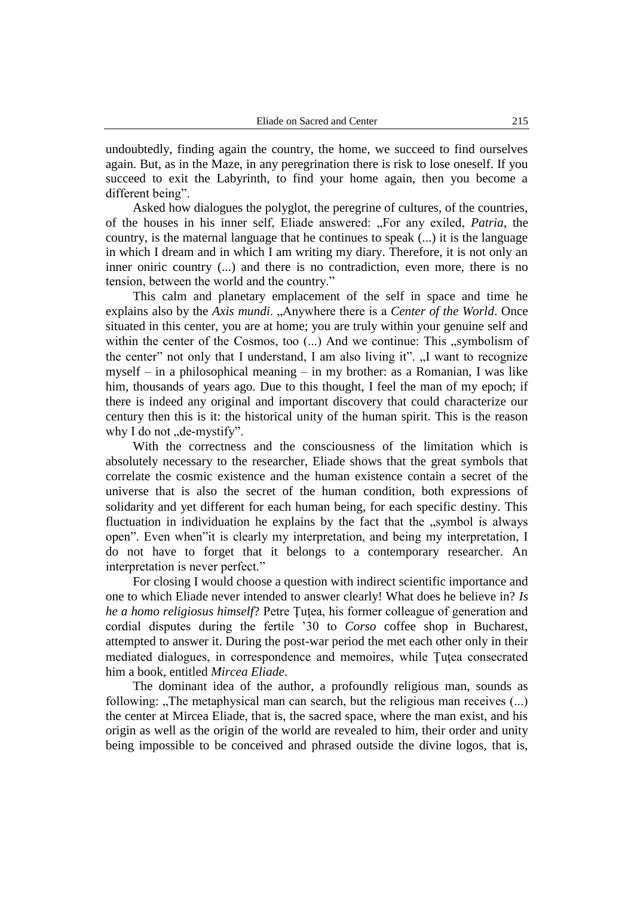undoubtedly, finding again the country, the home, we succeed to find ourselves again. But, as in the Maze, in any peregrination there is risk to lose oneself. If you succeed to exit the Labyrinth, to find your home again, then you become a different being".

Asked how dialogues the polyglot, the peregrine of cultures, of the countries, of the houses in his inner self, Eliade answered: "For any exiled, *Patria*, the country, is the maternal language that he continues to speak (...) it is the language in which I dream and in which I am writing my diary. Therefore, it is not only an inner oniric country (...) and there is no contradiction, even more, there is no tension, between the world and the country."

This calm and planetary emplacement of the self in space and time he explains also by the *Axis mundi*. "Anywhere there is a *Center of the World*. Once situated in this center, you are at home; you are truly within your genuine self and within the center of the Cosmos, too  $(...)$  And we continue: This  $,$ symbolism of the center" not only that I understand, I am also living it". "I want to recognize myself – in a philosophical meaning – in my brother: as a Romanian, I was like him, thousands of years ago. Due to this thought, I feel the man of my epoch; if there is indeed any original and important discovery that could characterize our century then this is it: the historical unity of the human spirit. This is the reason why I do not  $\partial_{\nu}$  de-mystify".

With the correctness and the consciousness of the limitation which is absolutely necessary to the researcher, Eliade shows that the great symbols that correlate the cosmic existence and the human existence contain a secret of the universe that is also the secret of the human condition, both expressions of solidarity and yet different for each human being, for each specific destiny. This fluctuation in individuation he explains by the fact that the "symbol is always open". Even when"it is clearly my interpretation, and being my interpretation, I do not have to forget that it belongs to a contemporary researcher. An interpretation is never perfect."

For closing I would choose a question with indirect scientific importance and one to which Eliade never intended to answer clearly! What does he believe in? *Is he a homo religiosus himself*? Petre Tutea, his former colleague of generation and cordial disputes during the fertile '30 to *Corso* coffee shop in Bucharest, attempted to answer it. During the post-war period the met each other only in their mediated dialogues, in correspondence and memoires, while Ţuţea consecrated him a book, entitled *Mircea Eliade*.

The dominant idea of the author, a profoundly religious man, sounds as following:  $n$ The metaphysical man can search, but the religious man receives  $(...)$ the center at Mircea Eliade, that is, the sacred space, where the man exist, and his origin as well as the origin of the world are revealed to him, their order and unity being impossible to be conceived and phrased outside the divine logos, that is,